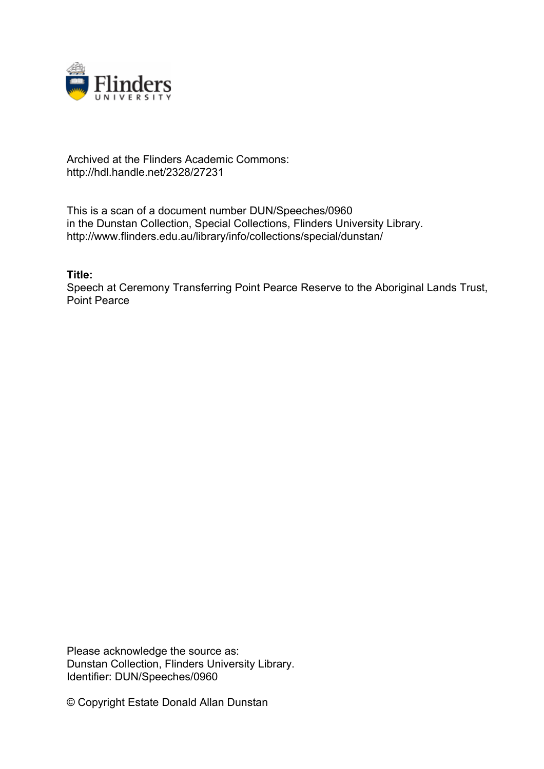

## Archived at the Flinders Academic Commons: http://hdl.handle.net/2328/27231

This is a scan of a document number DUN/Speeches/0960 in the Dunstan Collection, Special Collections, Flinders University Library. http://www.flinders.edu.au/library/info/collections/special/dunstan/

**Title:**

Speech at Ceremony Transferring Point Pearce Reserve to the Aboriginal Lands Trust, Point Pearce

Please acknowledge the source as: Dunstan Collection, Flinders University Library. Identifier: DUN/Speeches/0960

© Copyright Estate Donald Allan Dunstan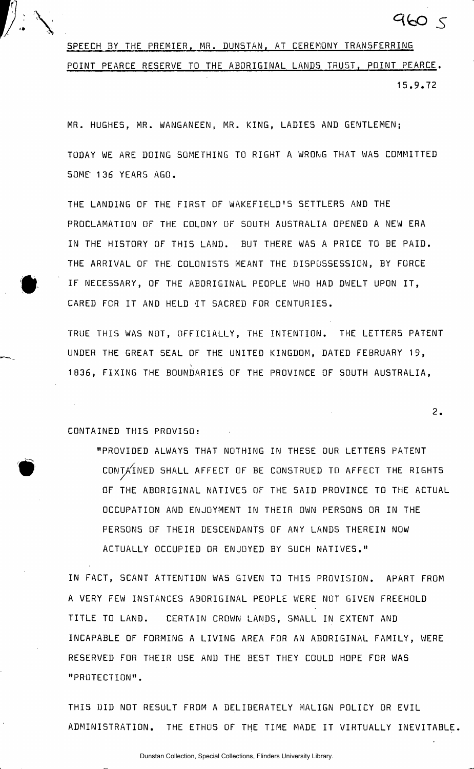

SPEECH BY THE PREMIER, MR. DUNSTAN, AT CEREMONY TRANSFERRING POINT PEARCE RESERVE TO THE ABORIGINAL LANDS TRUST, POINT PEARCE. 15.9.7 2

MR. HUGHES, MR. WANGANEEN, MR. KING, LADIES AND GENTLEMEN;

TODAY WE ARE DOING SOMETHING TO RIGHT A WRONG THAT WAS COMMITTED SOME 136 YEARS AGO.

THE LANDING OF THE FIRST OF WAKEFIELD'S SETTLERS AND THE PROCLAMATION OF THE COLONY OF SOUTH AUSTRALIA OPENED A NEW ERA IN THE HISTORY OF THIS LAND. BUT THERE WAS A PRICE TO BE PAID. THE ARRIVAL OF THE COLONISTS MEANT THE DISPOSSESSION, BY FORCE IF NECESSARY, OF THE ABORIGINAL PEOPLE WHO HAD DWELT UPON IT, CARED FOR IT AND HELD IT SACRED FOR CENTURIES.

TRUE THIS WAS NOT, OFFICIALLY, THE INTENTION. THE LETTERS PATENT UNDER THE GREAT SEAL OF THE UNITED KINGDOM, DATED FEBRUARY 19, 1836, FIXING THE BOUNDARIES OF THE PROVINCE OF SOUTH AUSTRALIA,

CONTAINED THIS PROVISO:

"PROVIDED ALWAYS THAT NOTHING IN THESE OUR LETTERS PATENT CONTAINED SHALL AFFECT OF BE CONSTRUED TO AFFECT THE RIGHTS OF THE ABORIGINAL NATIVES OF THE SAID PROVINCE TO THE ACTUAL OCCUPATION AND ENJOYMENT IN THEIR OWN PERSONS OR IN THE PERSONS OF THEIR DESCENDANTS OF ANY LANDS THEREIN NOW ACTUALLY OCCUPIED OR ENJOYED BY SUCH NATIVES."

2.

9605

IN FACT, SCANT ATTENTION WAS GIVEN TO THIS PROVISION. APART FROM A VERY FEW INSTANCES ABORIGINAL PEOPLE WERE NOT GIVEN FREEHOLD TITLE TO LAND. CERTAIN CROWN LANDS, SMALL IN EXTENT AND INCAPABLE OF FORMING A LIVING AREA FOR AN ABORIGINAL FAMILY, WERE RESERVED FOR THEIR USE AND THE BEST THEY COULD HOPE FOR WAS "PROTECTION" .

THIS DID NOT RESULT FROM A DELIBERATELY MALIGN POLICY OR EVIL ADMINISTRATION. THE ETHOS OF THE TIME MADE IT VIRTUALLY INEVITABLE.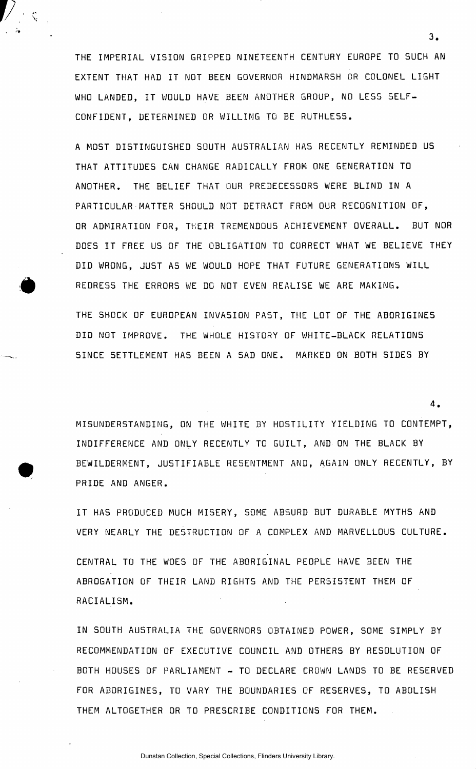THE IMPERIAL VISION GRIPPED NINETEENTH CENTURY EUROPE TO SUCH AN EXTENT THAT HAD IT IMOT BEEN GOVERNOR HINDMARSH OR COLONEL LIGHT WHO LANDED, IT WOULD HAVE BEEN ANOTHER GROUP, NO LESS SELF-CONFIDENT, DETERMINED OR WILLING TO BE RUTHLESS.

A MOST DISTINGUISHED SOUTH AUSTRALIAN HAS RECENTLY REMINDED US THAT ATTITUDES CAN CHANGE RADICALLY FROM ONE GENERATION TO ANOTHER. THE BELIEF THAT OUR PREDECESSORS WERE BLIND IN A PARTICULAR MATTER SHOULD NOT DETRACT FROM OUR RECOGNITION OF, OR ADMIRATION FOR, THEIR TREMENDOUS ACHIEVEMENT OVERALL. BUT NOR DOES IT FREE US OF THE OBLIGATION TO CORRECT WHAT WE BELIEVE THEY DID WRONG, JUST AS WE WOULD HOPE THAT FUTURE GENERATIONS WILL REDRESS THE ERRORS WE DO NOT EVEN REALISE WE ARE MAKING.

THE SHOCK OF EUROPEAN INVASION PAST, THE LOT OF THE ABORIGINES DID NOT IMPROVE. THE WHOLE HISTORY OF WHITE-BLACK RELATIONS SINCE SETTLEMENT HAS BEEN A SAD ONE. MARKED ON BOTH SIDES BY

MISUNDERSTANDING, ON THE WHITE BY HOSTILITY YIELDING TO CONTEMPT, INDIFFERENCE AND ONLY RECENTLY TO GUILT, AND ON THE BLACK BY BEWILDERMENT, JUSTIFIABLE RESENTMENT AND, AGAIN ONLY RECENTLY, BY PRIDE AND ANGER.

IT HAS PRODUCED MUCH MISERY, SOME ABSURD BUT DURABLE MYTHS AND VERY NEARLY THE DESTRUCTION OF A COMPLEX AND MARVELLOUS CULTURE .

CENTRAL TO THE WOES OF THE ABORIGINAL PEOPLE HAVE BEEN THE ABROGATION OF THEIR LAND RIGHTS AND THE PERSISTENT THEM OF RACIALISM .

IN SOUTH AUSTRALIA THE GOVERNORS OBTAINED POWER, SOME SIMPLY BY RECOMMENDATION OF EXECUTIVE COUNCIL AND OTHERS BY RESOLUTION OF BOTH HOUSES OF PARLIAMENT - TO DECLARE CROWN LANDS TO BE RESERVED FOR ABORIGINES, TO VARY THE BOUNDARIES OF RESERVES, TO ABOLISH THEM ALTOGETHER OR TO PRESCRIBE CONDITIONS FOR THEM.

 $3.$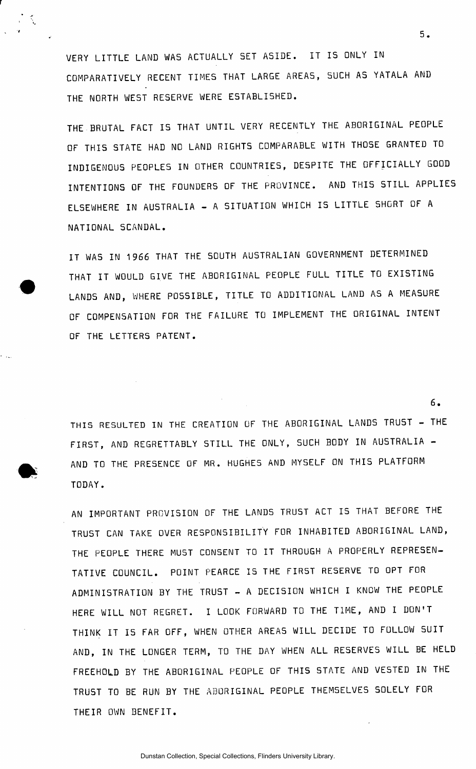VERY LITTLE LAND WAS ACTUALLY SET ASIDE. IT IS ONLY IN COMPARATIVELY RECENT TIMES THAT LARGE AREAS, SUCH AS YATALA AND THE NORTH WEST RESERVE WERE ESTABLISHED.

THE BRUTAL FACT IS THAT UNTIL VERY RECENTLY THE ABORIGINAL PEOPLE OF THIS STATE HAD NO LAND RIGHTS COMPARABLE WITH THOSE GRANTED TO INDIGENOUS PEOPLES IN OTHER COUNTRIES, DESPITE THE OFFICIALLY GOOD INTENTIONS OF THE FOUNDERS OF THE PROVINCE. AND THIS STILL APPLIES ELSEWHERE IN AUSTRALIA - A SITUATION WHICH IS LITTLE SHORT OF A NATIONAL SCANDAL.

IT WAS IN 1966 THAT THE SOUTH AUSTRALIAN GOVERNMENT DETERMINED THAT IT WOULD GIVE THE ABORIGINAL PEOPLE FULL TITLE TO EXISTING LANDS AND, WHERE POSSIBLE, TITLE TO ADDITIONAL LAND AS A MEASURE OF COMPENSATION FOR THE FAILURE TO IMPLEMENT THE ORIGINAL INTENT OF THE LETTERS PATENT.

6. THIS RESULTED IN THE CREATION OF THE ABORIGINAL LANDS TRUST - THE FIRST, AND REGRETTABLY STILL THE ONLY, SUCH BODY IN AUSTRALIA -AND TO THE PRESENCE OF MR. HUGHES AND MYSELF ON THIS PLATFORM TODAY .

AN IMPORTANT PROVISION OF THE LANDS TRUST ACT IS THAT BEFORE THE TRUST CAN TAKE OVER RESPONSIBILITY FOR INHABITED ABORIGINAL LAND, THE PEOPLE THERE MUST CONSENT TO IT THROUGH A PROPERLY REPRESEN-TATIVE COUNCIL. POINT PEARCE IS THE FIRST RESERVE TO OPT FOR ADMINISTRATION BY THE TRUST - A DECISION WHICH I KNOW THE PEOPLE HERE WILL NOT REGRET. I LOOK FORWARD TO THE TIME, AND I DON'T THINK IT IS FAR OFF, WHEN OTHER AREAS WILL DECIDE TO FOLLOW SUIT AND, IN THE LONGER TERM, TO THE DAY WHEN ALL RESERVES WILL BE HELD FREEHOLD BY THE ABORIGINAL PEOPLE OF THIS STATE AND VESTED IN THE TRUST TO BE RUN BY THE ABORIGINAL PEOPLE THEMSELVES SOLELY FOR THEIR OWN BENEFIT.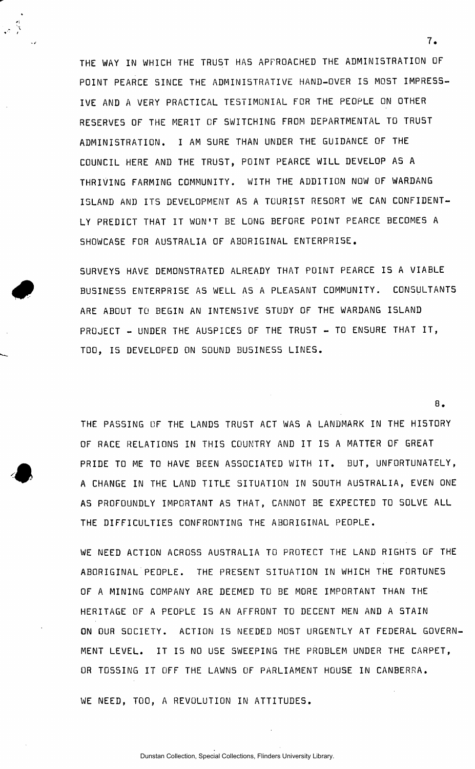THE WAY IN WHICH THE TRUST HAS APPROACHED THE ADMINISTRATION OF POINT PEARCE SINCE THE ADMINISTRATIVE HAND-OVER IS MOST IMPRESS-IVE AND A VERY PRACTICAL TESTIMONIAL FOR THE PEOPLE ON OTHER RESERVES OF THE MERIT OF SWITCHING FROM DEPARTMENTAL TO TRUST ADMINISTRATION . I AM SURE THAN UNDER THE GUIDANCE OF THE COUNCIL HERE AND THE TRUST, POINT PEARCE WILL DEVELOP AS A THRIVING FARMING COMMUNITY. WITH THE ADDITION NOW OF WARDANG ISLAND AND ITS DEVELOPMENT AS A TOURIST RESORT WE CAN CONFIDENT-LY PREDICT THAT IT WON'T BE LONG BEFORE POINT PEARCE BECOMES A SHOWCASE FOR AUSTRALIA OF ABORIGINAL ENTERPRISE.

 $\sim$   $\frac{6}{3}$ 

SURVEYS HAVE DEMONSTRATED ALREADY THAT POINT PEARCE IS A VIABLE BUSINESS ENTERPRISE AS WELL AS A PLEASANT COMMUNITY. CONSULTANTS ARE ABOUT TO BEGIN AN INTENSIVE STUDY OF THE WARDANG ISLAND PROJECT - UNDER THE AUSPICES OF THE TRUST - TO ENSURE THAT IT, TOO, IS DEVELOPED ON SOUND BUSINESS LINES.

THE PASSING OF THE LANDS TRUST ACT WAS A LANDMARK IN THE HISTORY OF RACE RELATIONS IN THIS COUNTRY AND IT IS A MATTER OF GREAT PRIDE TO ME TO HAVE BEEN ASSOCIATED WITH IT. BUT, UNFORTUNATELY, A CHANGE IN THE LAND TITLE SITUATION IN SOUTH AUSTRALIA, EVEN ONE AS PROFOUNDLY IMPORTANT AS THAT, CANNOT BE EXPECTED TO SOLVE ALL THE DIFFICULTIES CONFRONTING THE ABORIGINAL PEOPLE.

WE NEED ACTION ACROSS AUSTRALIA TO PROTECT THE LAND RIGHTS OF THE ABORIGINAL PEOPLE. THE PRESENT SITUATION IN WHICH THE FORTUNES OF A MINING COMPANY ARE DEEMED TO BE MORE IMPORTANT THAN THE HERITAGE OF A PEOPLE IS AN AFFRONT TO DECENT MEN AND A STAIN ON OUR SOCIETY. ACTION IS NEEDED MOST URGENTLY AT FEDERAL GOVERN-MENT LEVEL. IT IS NO USE SWEEPING THE PROBLEM UNDER THE CARPET, OR TOS5ING IT OFF THE LAWNS OF PARLIAMENT HOUSE IN CANBERRA .

WE NEED, TOO, A REVOLUTION IN ATTITUDES.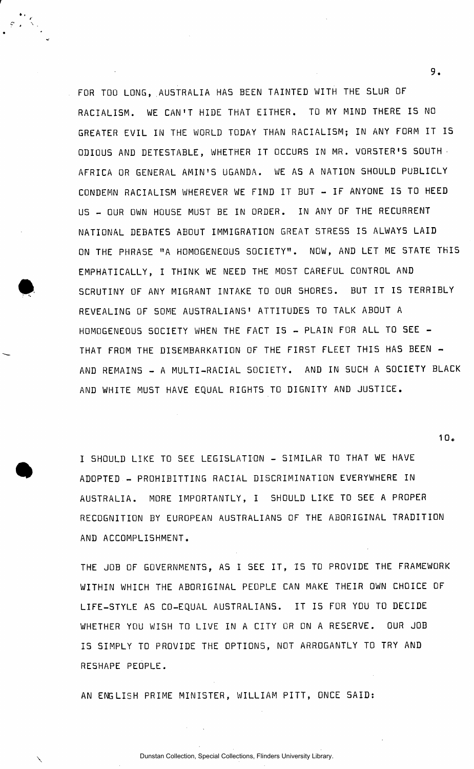. FOR TOO LONG, AUSTRALIA HAS BEEN TAINTED WITH THE SLUR OF RACIALISM. WE CAN'T HIDE THAT EITHER. TO MY MIND THERE IS NO GREATER EVIL IN THE WORLD TODAY THAN RACIALISM; IN ANY FORM IT IS ODIOUS AND DETESTABLE, WHETHER IT OCCURS IN MR. VORSTER'S SOUTH AFRICA OR GENERAL AMIN'S UGANDA. WE AS A NATION SHOULD PUBLICLY CONDEMN RACIALISM WHEREVER WE FIND IT BUT - IF ANYONE IS TO HEED US - OUR OWN HOUSE MUST BE IN ORDER. IN ANY OF THE RECURRENT NATIONAL DEBATES ABOUT IMMIGRATION GREAT STRESS IS ALWAYS LAID ON THE PHRASE "A HOMOGENEOUS SOCIETY". NOW, AND LET ME STATE THIS EMPHATICALLY , I THINK WE NEED THE MOST CAREFUL CONTROL AND SCRUTINY OF ANY MIGRANT INTAKE TO OUR SHORES. BUT IT IS TERRIBLY REVEALING OF SOME AUSTRALIANS' ATTITUDES TO TALK ABOUT A HOMOGENEOUS SOCIETY WHEN THE FACT IS - PLAIN FOR ALL TO SEE -THAT FROM THE DISEMBARKATION OF THE FIRST FLEET THIS HAS BEEN -AND REMAINS - A MULTI-RACIAL SOCIETY. AND IN SUCH A SOCIETY BLACK AND WHITE MUST HAVE EQUAL RIGHTS TO DIGNITY AND JUSTICE.

I SHOULD LIKE TO SEE LEGISLATION - SIMILAR TO THAT WE HAVE ADOPTED - PROHIBITTING RACIAL DISCRIMINATION EVERYWHERE IN AUSTRALIA. MORE IMPORTANTLY, I SHOULD LIKE TO SEE A PROPER RECOGNITION BY EUROPEAN AUSTRALIANS OF THE ABORIGINAL TRADITION AND ACCOMPLISHMENT.

THE JOB OF GOVERNMENTS, AS I SEE IT, IS TO PROVIDE THE FRAMEWORK WITHIN WHICH THE ABORIGINAL PEOPLE CAN MAKE THEIR OWN CHOICE OF LIFE-STYLE AS CO-EQUAL AUSTRALIANS. IT IS FOR YOU TO DECIDE WHETHER YOU WISH TO LIVE IN A CITY OR ON A RESERVE. OUR JOB IS SIMPLY TO PROVIDE THE OPTIONS, NOT ARROGANTLY TO TRY AND RESHAPE PEOPLE .

AN ENGLISH PRIME MINISTER, WILLIAM PITT, ONCE SAID:

9.